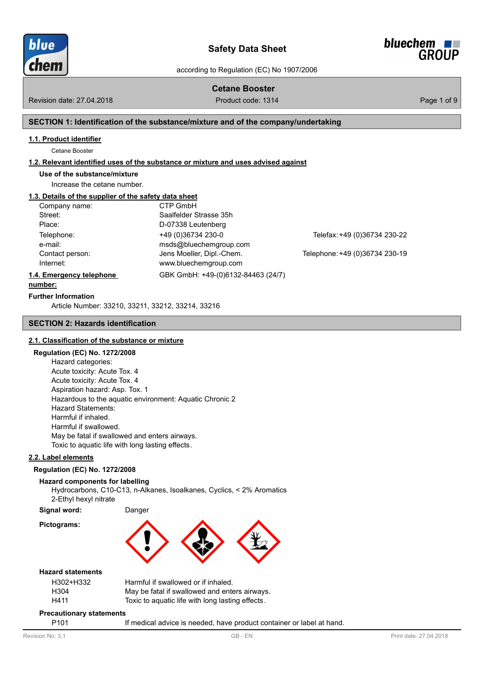



# **Cetane Booster**

Revision date: 27.04.2018 **Product code: 1314** Product code: 1314 **Page 1 of 9** 

## **SECTION 1: Identification of the substance/mixture and of the company/undertaking**

#### **1.1. Product identifier**

Cetane Booster

#### **1.2. Relevant identified uses of the substance or mixture and uses advised against**

**Use of the substance/mixture**

Increase the cetane number.

# **1.3. Details of the supplier of the safety data sheet**

| Company name:            | CTP GmbH                           |                                |
|--------------------------|------------------------------------|--------------------------------|
| Street:                  | Saalfelder Strasse 35h             |                                |
| Place:                   | D-07338 Leutenberg                 |                                |
| Telephone:               | +49 (0)36734 230-0                 | Telefax: +49 (0)36734 230-22   |
| e-mail:                  | msds@bluechemgroup.com             |                                |
| Contact person:          | Jens Moeller, Dipl.-Chem.          | Telephone: +49 (0)36734 230-19 |
| Internet:                | www.bluechemgroup.com              |                                |
| 1.4. Emergency telephone | GBK GmbH: +49-(0)6132-84463 (24/7) |                                |
|                          |                                    |                                |

### **number:**

**Further Information**

Article Number: 33210, 33211, 3[3212, 33214, 33216](http://www.bluechemgroup.com)

### **SECTION 2: Hazards identification**

# **2.1. Classification of the substance or mixture**

# **Regulation (EC) No. 1272/2008**

Hazard categories: Acute toxicity: Acute Tox. 4 Acute toxicity: Acute Tox. 4 Aspiration hazard: Asp. Tox. 1 Hazardous to the aquatic environment: Aquatic Chronic 2 Hazard Statements: Harmful if inhaled. Harmful if swallowed. May be fatal if swallowed and enters airways. Toxic to aquatic life with long lasting effects.

### **2.2. Label elements**

**Pictograms:**

#### **Regulation (EC) No. 1272/2008**

# **Hazard components for labelling**

Hydrocarbons, C10-C13, n-Alkanes, Isoalkanes, Cyclics, < 2% Aromatics 2-Ethyl hexyl nitrate

**Signal word:** Danger

## **Hazard statements**

| H302+H332 | Harmful if swallowed or if inhaled.              |
|-----------|--------------------------------------------------|
| H304      | May be fatal if swallowed and enters airways.    |
| H411      | Toxic to aquatic life with long lasting effects. |

#### **Precautionary statements**

P101 If medical advice is needed, have product container or label at hand.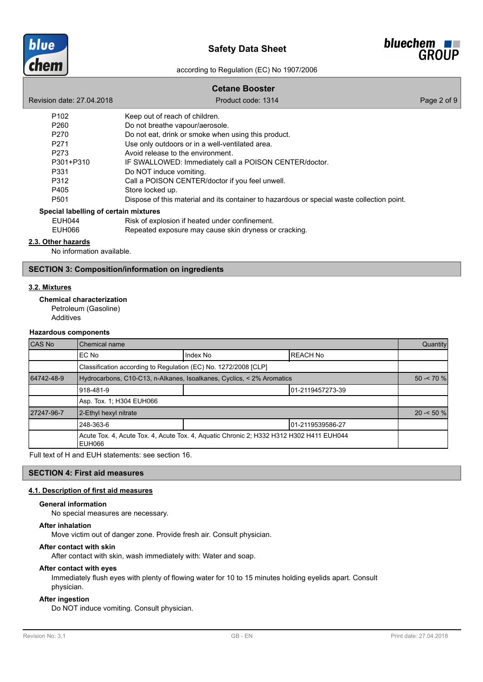



# **Cetane Booster** Revision date: 27.04.2018 **Product code: 1314** Product code: 1314 P102 Keep out of reach of children. P260 Do not breathe vapour/aerosole. P270 Do not eat, drink or smoke when using this product. P271 Use only outdoors or in a well-ventilated area. P273 Avoid release to the environment. P301+P310 IF SWALLOWED: Immediately call a POISON CENTER/doctor. P331 Do NOT induce vomiting. P312 Call a POISON CENTER/doctor if you feel unwell. P405 Store locked up. P501 Dispose of this material and its container to hazardous or special waste collection point. EUH044 Risk of explosion if heated under confinement. EUH066 Repeated exposure may cause skin dryness or cracking. **Special labelling of certain mixtures**

### **2.3. Other hazards**

No information available.

# **SECTION 3: Composition/information on ingredients**

## **3.2. Mixtures**

**Chemical characterization**

Petroleum (Gasoline) Additives

#### **Hazardous components**

| CAS No     | <b>Chemical name</b>                                                  |                                                                                         |                  | Quantity    |  |
|------------|-----------------------------------------------------------------------|-----------------------------------------------------------------------------------------|------------------|-------------|--|
|            | Index No<br><b>REACH No</b><br>IEC No                                 |                                                                                         |                  |             |  |
|            | Classification according to Regulation (EC) No. 1272/2008 [CLP]       |                                                                                         |                  |             |  |
| 64742-48-9 | Hydrocarbons, C10-C13, n-Alkanes, Isoalkanes, Cyclics, < 2% Aromatics |                                                                                         |                  | $50 - 70$ % |  |
|            | 918-481-9<br>01-2119457273-39                                         |                                                                                         |                  |             |  |
|            | Asp. Tox. 1; H304 EUH066                                              |                                                                                         |                  |             |  |
| 27247-96-7 | 2-Ethyl hexyl nitrate                                                 |                                                                                         |                  | $20 - 50%$  |  |
|            | 248-363-6                                                             |                                                                                         | 01-2119539586-27 |             |  |
|            | EUH066                                                                | Acute Tox. 4, Acute Tox. 4, Acute Tox. 4, Aquatic Chronic 2; H332 H312 H302 H411 EUH044 |                  |             |  |

Full text of H and EUH statements: see section 16.

### **SECTION 4: First aid measures**

#### **4.1. Description of first aid measures**

#### **General information**

No special measures are necessary.

#### **After inhalation**

Move victim out of danger zone. Provide fresh air. Consult physician.

## **After contact with skin**

After contact with skin, wash immediately with: Water and soap.

#### **After contact with eyes**

Immediately flush eyes with plenty of flowing water for 10 to 15 minutes holding eyelids apart. Consult physician.

#### **After ingestion**

Do NOT induce vomiting. Consult physician.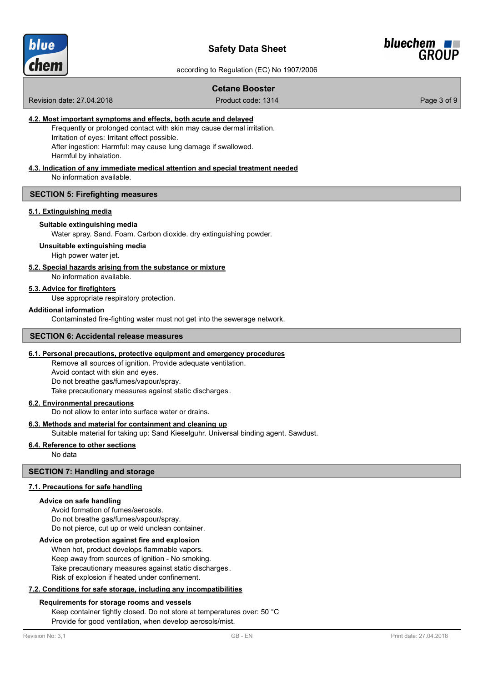



# **Cetane Booster**

Revision date: 27.04.2018 **Product code: 1314** Product code: 1314

## **4.2. Most important symptoms and effects, both acute and delayed**

Frequently or prolonged contact with skin may cause dermal irritation. Irritation of eyes: Irritant effect possible. After ingestion: Harmful: may cause lung damage if swallowed. Harmful by inhalation.

#### **4.3. Indication of any immediate medical attention and special treatment needed**

No information available.

### **SECTION 5: Firefighting measures**

### **5.1. Extinguishing media**

#### **Suitable extinguishing media**

Water spray. Sand. Foam. Carbon dioxide. dry extinguishing powder.

#### **Unsuitable extinguishing media**

High power water jet.

# **5.2. Special hazards arising from the substance or mixture**

No information available.

## **5.3. Advice for firefighters**

Use appropriate respiratory protection.

### **Additional information**

Contaminated fire-fighting water must not get into the sewerage network.

## **SECTION 6: Accidental release measures**

### **6.1. Personal precautions, protective equipment and emergency procedures**

Remove all sources of ignition. Provide adequate ventilation. Avoid contact with skin and eyes. Do not breathe gas/fumes/vapour/spray. Take precautionary measures against static discharges.

#### **6.2. Environmental precautions**

Do not allow to enter into surface water or drains.

# **6.3. Methods and material for containment and cleaning up**

Suitable material for taking up: Sand Kieselguhr. Universal binding agent. Sawdust.

# **6.4. Reference to other sections**

No data

# **SECTION 7: Handling and storage**

# **7.1. Precautions for safe handling**

#### **Advice on safe handling**

Avoid formation of fumes/aerosols. Do not breathe gas/fumes/vapour/spray. Do not pierce, cut up or weld unclean container.

## **Advice on protection against fire and explosion**

When hot, product develops flammable vapors. Keep away from sources of ignition - No smoking. Take precautionary measures against static discharges. Risk of explosion if heated under confinement.

# **7.2. Conditions for safe storage, including any incompatibilities**

#### **Requirements for storage rooms and vessels**

Keep container tightly closed. Do not store at temperatures over: 50 °C Provide for good ventilation, when develop aerosols/mist.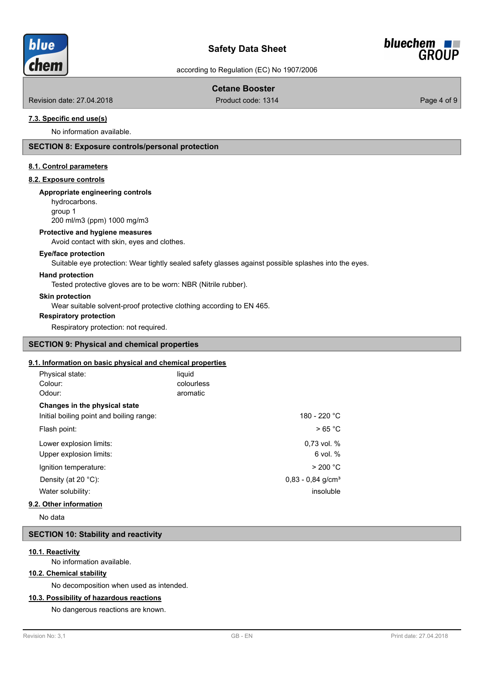

# **Safety Data Sheet**



according to Regulation (EC) No 1907/2006

# **Cetane Booster**

Revision date: 27.04.2018 **Product code: 1314** Product code: 1314

## **7.3. Specific end use(s)**

No information available.

# **SECTION 8: Exposure controls/personal protection**

# **8.1. Control parameters**

# **8.2. Exposure controls**

#### **Appropriate engineering controls**

hydrocarbons. group 1

200 ml/m3 (ppm) 1000 mg/m3

#### **Protective and hygiene measures**

Avoid contact with skin, eyes and clothes.

#### **Eye/face protection**

Suitable eye protection: Wear tightly sealed safety glasses against possible splashes into the eyes.

### **Hand protection**

Tested protective gloves are to be worn: NBR (Nitrile rubber).

#### **Skin protection**

Wear suitable solvent-proof protective clothing according to EN 465.

### **Respiratory protection**

Respiratory protection: not required.

# **SECTION 9: Physical and chemical properties**

## **9.1. Information on basic physical and chemical properties**

| Physical state:                          | liquid     |                                 |
|------------------------------------------|------------|---------------------------------|
| Colour:                                  | colourless |                                 |
| Odour:                                   | aromatic   |                                 |
| Changes in the physical state            |            |                                 |
| Initial boiling point and boiling range: |            | 180 - 220 °C                    |
| Flash point:                             | >65 °C     |                                 |
| Lower explosion limits:                  |            | $0.73$ vol. %                   |
| Upper explosion limits:                  |            | $6$ vol. $%$                    |
| Ignition temperature:                    |            | > 200 °C                        |
| Density (at 20 $°C$ ):                   |            | $0.83 - 0.84$ g/cm <sup>3</sup> |
| Water solubility:                        |            | insoluble                       |
|                                          |            |                                 |

## **9.2. Other information**

No data

#### **SECTION 10: Stability and reactivity**

#### **10.1. Reactivity**

No information available.

# **10.2. Chemical stability**

No decomposition when used as intended.

### **10.3. Possibility of hazardous reactions**

No dangerous reactions are known.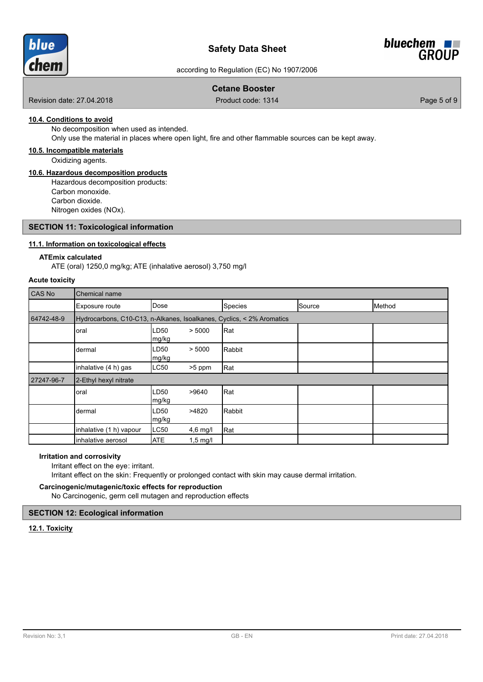

# **Safety Data Sheet**



according to Regulation (EC) No 1907/2006

# **Cetane Booster**

Revision date: 27.04.2018 Product code: 1314 Page 5 of 9

# **10.4. Conditions to avoid**

No decomposition when used as intended.

Only use the material in places where open light, fire and other flammable sources can be kept away.

### **10.5. Incompatible materials**

Oxidizing agents.

## **10.6. Hazardous decomposition products**

Hazardous decomposition products: Carbon monoxide. Carbon dioxide. Nitrogen oxides (NOx).

### **SECTION 11: Toxicological information**

### **11.1. Information on toxicological effects**

#### **ATEmix calculated**

ATE (oral) 1250,0 mg/kg; ATE (inhalative aerosol) 3,750 mg/l

#### **Acute toxicity**

| CAS No     | <b>Chemical name</b>                                                  |               |            |         |        |        |
|------------|-----------------------------------------------------------------------|---------------|------------|---------|--------|--------|
|            | Exposure route                                                        | <b>IDose</b>  |            | Species | Source | Method |
| 64742-48-9 | Hydrocarbons, C10-C13, n-Alkanes, Isoalkanes, Cyclics, < 2% Aromatics |               |            |         |        |        |
|            | oral                                                                  | LD50<br>mg/kg | > 5000     | Rat]    |        |        |
|            | dermal                                                                | LD50<br>mg/kg | > 5000     | Rabbit  |        |        |
|            | inhalative (4 h) gas                                                  | LC50          | >5 ppm     | Rat     |        |        |
| 27247-96-7 | 2-Ethyl hexyl nitrate                                                 |               |            |         |        |        |
|            | oral                                                                  | LD50<br>mg/kg | >9640      | Rat     |        |        |
|            | dermal                                                                | LD50<br>mg/kg | >4820      | Rabbit  |        |        |
|            | inhalative (1 h) vapour                                               | LC50          | 4,6 mg/l   | Rat     |        |        |
|            | inhalative aerosol                                                    | <b>ATE</b>    | $1,5$ mg/l |         |        |        |

#### **Irritation and corrosivity**

Irritant effect on the eye: irritant.

Irritant effect on the skin: Frequently or prolonged contact with skin may cause dermal irritation.

# **Carcinogenic/mutagenic/toxic effects for reproduction**

No Carcinogenic, germ cell mutagen and reproduction effects

# **SECTION 12: Ecological information**

# **12.1. Toxicity**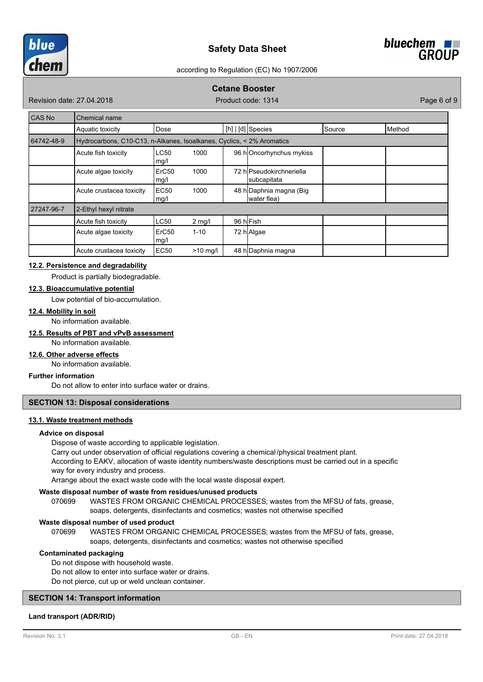



# **Cetane Booster**

Revision date: 27.04.2018 **Product code: 1314** Product code: 1314

| CAS No     | Chemical name                                                         |                           |           |  |                                         |               |        |
|------------|-----------------------------------------------------------------------|---------------------------|-----------|--|-----------------------------------------|---------------|--------|
|            | Aquatic toxicity                                                      | Dose                      |           |  | [h] $\lfloor d \rfloor$ Species         | <b>Source</b> | Method |
| 64742-48-9 | Hydrocarbons, C10-C13, n-Alkanes, Isoalkanes, Cyclics, < 2% Aromatics |                           |           |  |                                         |               |        |
|            | Acute fish toxicity                                                   | <b>LC50</b><br>mg/l       | 1000      |  | 96 hOncorhynchus mykiss                 |               |        |
|            | Acute algae toxicity                                                  | ErC <sub>50</sub><br>mg/l | 1000      |  | 72 hlPseudokirchneriella<br>subcapitata |               |        |
|            | Acute crustacea toxicity                                              | EC <sub>50</sub><br>mg/l  | 1000      |  | 48 h Daphnia magna (Big<br>water flea)  |               |        |
| 27247-96-7 | 2-Ethyl hexyl nitrate                                                 |                           |           |  |                                         |               |        |
|            | Acute fish toxicity                                                   | LC50                      | $2$ mg/l  |  | 96 hFish                                |               |        |
|            | Acute algae toxicity                                                  | ErC <sub>50</sub><br>mg/l | $1 - 10$  |  | 72 h Algae                              |               |        |
|            | Acute crustacea toxicity                                              | EC <sub>50</sub>          | $>10$ mg/ |  | 48 h Daphnia magna                      |               |        |

### **12.2. Persistence and degradability**

Product is partially biodegradable.

## **12.3. Bioaccumulative potential**

Low potential of bio-accumulation.

# **12.4. Mobility in soil**

No information available.

# **12.5. Results of PBT and vPvB assessment**

No information available.

# **12.6. Other adverse effects**

No information available.

# **Further information**

Do not allow to enter into surface water or drains.

# **SECTION 13: Disposal considerations**

#### **13.1. Waste treatment methods**

#### **Advice on disposal**

Dispose of waste according to applicable legislation.

Carry out under observation of official regulations covering a chemical /physical treatment plant.

According to EAKV, allocation of waste identity numbers/waste descriptions must be carried out in a specific way for every industry and process.

Arrange about the exact waste code with the local waste disposal expert.

#### **Waste disposal number of waste from residues/unused products**

070699 WASTES FROM ORGANIC CHEMICAL PROCESSES; wastes from the MFSU of fats, grease, soaps, detergents, disinfectants and cosmetics; wastes not otherwise specified

#### **Waste disposal number of used product**

WASTES FROM ORGANIC CHEMICAL PROCESSES; wastes from the MFSU of fats, grease, soaps, detergents, disinfectants and cosmetics; wastes not otherwise specified 070699

### **Contaminated packaging**

Do not dispose with household waste.

Do not allow to enter into surface water or drains. Do not pierce, cut up or weld unclean container.

### **SECTION 14: Transport information**

## **Land transport (ADR/RID)**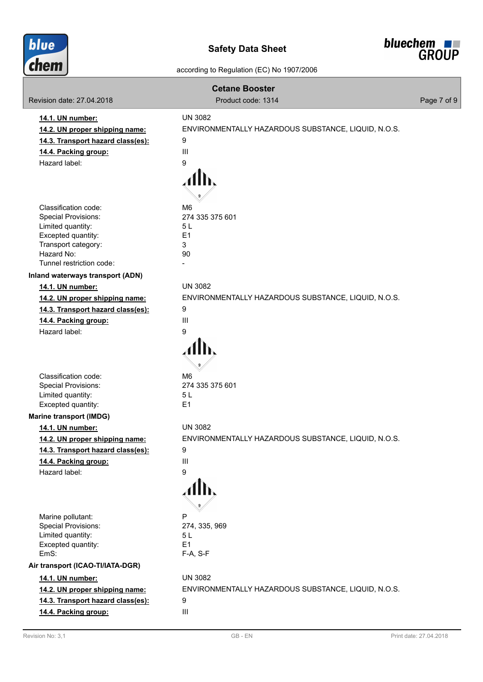



| <b>Cetane Booster</b>                                                                                                                                          |                                                                                                   |             |  |  |
|----------------------------------------------------------------------------------------------------------------------------------------------------------------|---------------------------------------------------------------------------------------------------|-------------|--|--|
| Revision date: 27,04,2018                                                                                                                                      | Product code: 1314                                                                                | Page 7 of 9 |  |  |
| 14.1. UN number:<br>14.2. UN proper shipping name:<br>14.3. Transport hazard class(es):<br>14.4. Packing group:<br>Hazard label:                               | <b>UN 3082</b><br>ENVIRONMENTALLY HAZARDOUS SUBSTANCE, LIQUID, N.O.S.<br>9<br>$\mathbf{III}$<br>9 |             |  |  |
| Classification code:<br><b>Special Provisions:</b><br>Limited quantity:<br>Excepted quantity:<br>Transport category:<br>Hazard No:<br>Tunnel restriction code: | M <sub>6</sub><br>274 335 375 601<br>5L<br>E1<br>3<br>90                                          |             |  |  |
| Inland waterways transport (ADN)                                                                                                                               |                                                                                                   |             |  |  |
| 14.1. UN number:<br>14.2. UN proper shipping name:<br>14.3. Transport hazard class(es):<br>14.4. Packing group:<br>Hazard label:                               | <b>UN 3082</b><br>ENVIRONMENTALLY HAZARDOUS SUBSTANCE, LIQUID, N.O.S.<br>9<br>Ш<br>9              |             |  |  |
| Classification code:<br><b>Special Provisions:</b><br>Limited quantity:<br>Excepted quantity:                                                                  | M <sub>6</sub><br>274 335 375 601<br>5L<br>E <sub>1</sub>                                         |             |  |  |
| <b>Marine transport (IMDG)</b>                                                                                                                                 |                                                                                                   |             |  |  |
| 14.1. UN number:<br>14.2. UN proper shipping name:<br>14.3. Transport hazard class(es):<br>14.4. Packing group:<br>Hazard label:                               | <b>UN 3082</b><br>ENVIRONMENTALLY HAZARDOUS SUBSTANCE, LIQUID, N.O.S.<br>9<br>Ш<br>9              |             |  |  |
| Marine pollutant:<br><b>Special Provisions:</b><br>Limited quantity:<br>Excepted quantity:<br>EmS:                                                             | P<br>274, 335, 969<br>5L<br>E <sub>1</sub><br>$F-A, S-F$                                          |             |  |  |
| Air transport (ICAO-TI/IATA-DGR)                                                                                                                               |                                                                                                   |             |  |  |
| 14.1. UN number:<br>14.2. UN proper shipping name:<br>14.3. Transport hazard class(es):<br>14.4. Packing group:                                                | <b>UN 3082</b><br>ENVIRONMENTALLY HAZARDOUS SUBSTANCE, LIQUID, N.O.S.<br>9<br>Ш                   |             |  |  |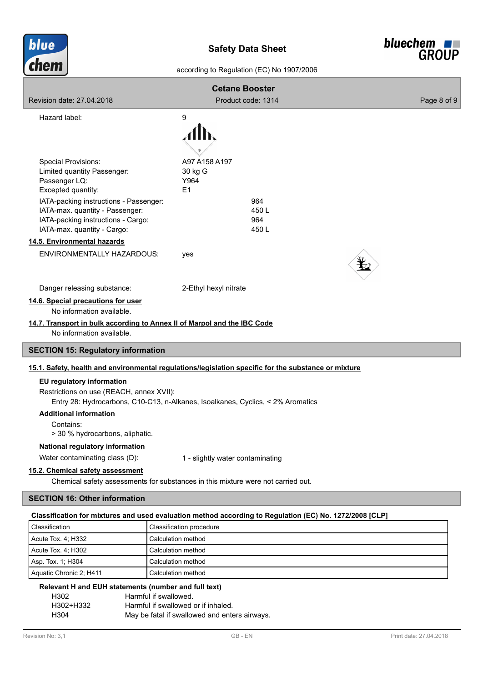



| <b>Cetane Booster</b><br>Revision date: 27,04,2018<br>Product code: 1314<br>Page 8 of 9                              |                                                                                                         |  |  |  |
|----------------------------------------------------------------------------------------------------------------------|---------------------------------------------------------------------------------------------------------|--|--|--|
| Hazard label:                                                                                                        | 9                                                                                                       |  |  |  |
|                                                                                                                      |                                                                                                         |  |  |  |
|                                                                                                                      |                                                                                                         |  |  |  |
|                                                                                                                      |                                                                                                         |  |  |  |
| <b>Special Provisions:</b>                                                                                           | A97 A158 A197                                                                                           |  |  |  |
| Limited quantity Passenger:                                                                                          | 30 kg G                                                                                                 |  |  |  |
| Passenger LQ:<br>Excepted quantity:                                                                                  | Y964<br>E1                                                                                              |  |  |  |
| IATA-packing instructions - Passenger:                                                                               | 964                                                                                                     |  |  |  |
| IATA-max. quantity - Passenger:                                                                                      | 450L                                                                                                    |  |  |  |
| IATA-packing instructions - Cargo:                                                                                   | 964                                                                                                     |  |  |  |
| IATA-max. quantity - Cargo:                                                                                          | 450L                                                                                                    |  |  |  |
| 14.5. Environmental hazards                                                                                          |                                                                                                         |  |  |  |
| ENVIRONMENTALLY HAZARDOUS:                                                                                           | yes                                                                                                     |  |  |  |
|                                                                                                                      |                                                                                                         |  |  |  |
| Danger releasing substance:                                                                                          | 2-Ethyl hexyl nitrate                                                                                   |  |  |  |
| 14.6. Special precautions for user                                                                                   |                                                                                                         |  |  |  |
| No information available.                                                                                            |                                                                                                         |  |  |  |
|                                                                                                                      | 14.7. Transport in bulk according to Annex II of Marpol and the IBC Code                                |  |  |  |
| No information available.                                                                                            |                                                                                                         |  |  |  |
| <b>SECTION 15: Regulatory information</b>                                                                            |                                                                                                         |  |  |  |
|                                                                                                                      | 15.1. Safety, health and environmental regulations/legislation specific for the substance or mixture    |  |  |  |
| EU regulatory information                                                                                            |                                                                                                         |  |  |  |
| Restrictions on use (REACH, annex XVII):                                                                             |                                                                                                         |  |  |  |
|                                                                                                                      | Entry 28: Hydrocarbons, C10-C13, n-Alkanes, Isoalkanes, Cyclics, < 2% Aromatics                         |  |  |  |
| <b>Additional information</b>                                                                                        |                                                                                                         |  |  |  |
| Contains:                                                                                                            |                                                                                                         |  |  |  |
| > 30 % hydrocarbons, aliphatic.                                                                                      |                                                                                                         |  |  |  |
| National regulatory information                                                                                      |                                                                                                         |  |  |  |
| Water contaminating class (D):                                                                                       | 1 - slightly water contaminating                                                                        |  |  |  |
| 15.2. Chemical safety assessment<br>Chemical safety assessments for substances in this mixture were not carried out. |                                                                                                         |  |  |  |
|                                                                                                                      |                                                                                                         |  |  |  |
| <b>SECTION 16: Other information</b>                                                                                 |                                                                                                         |  |  |  |
|                                                                                                                      | Classification for mixtures and used evaluation method according to Regulation (EC) No. 1272/2008 [CLP] |  |  |  |
| Classification                                                                                                       | Classification procedure                                                                                |  |  |  |
| Acute Tox. 4; H332                                                                                                   | Calculation method                                                                                      |  |  |  |
| Acute Tox. 4; H302                                                                                                   | Calculation method                                                                                      |  |  |  |
| Asp. Tox. 1; H304                                                                                                    | Calculation method                                                                                      |  |  |  |
| Aquatic Chronic 2; H411                                                                                              | Calculation method                                                                                      |  |  |  |

# **Relevant H and EUH statements (number and full text)**

| H302      | Harmful if swallowed.                         |
|-----------|-----------------------------------------------|
| H302+H332 | Harmful if swallowed or if inhaled.           |
| H304      | May be fatal if swallowed and enters airways. |